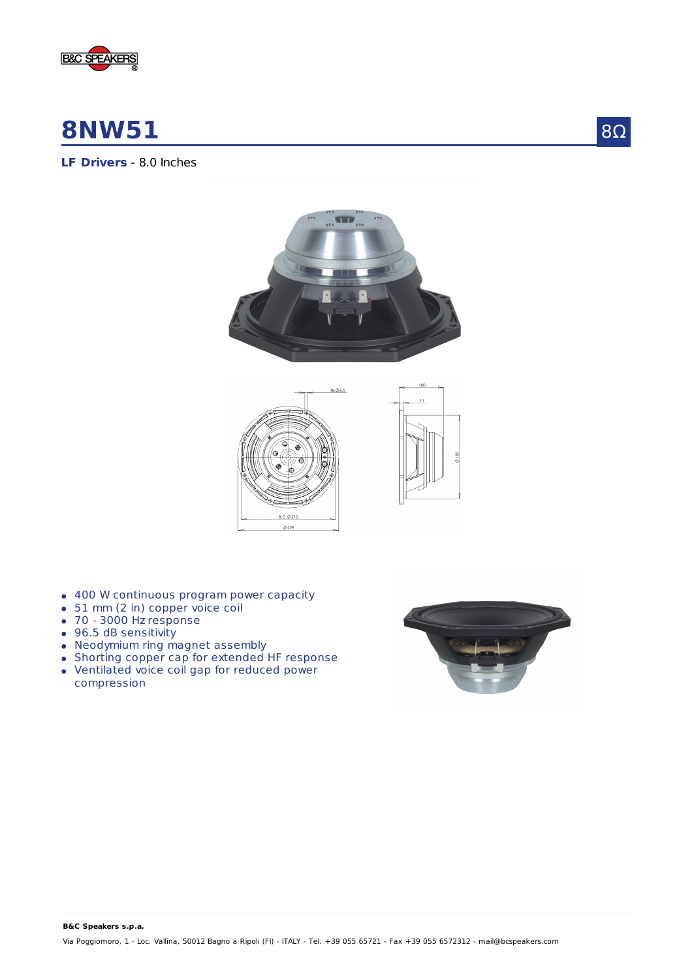

## **8NW51**

8Ω

### **LF Drivers** - 8.0 Inches





- 400 W continuous program power capacity
- 51 mm (2 in) copper voice coil
- 70 3000 Hz response
- 96.5 dB sensitivity
- Neodymium ring magnet assembly
- Shorting copper cap for extended HF response
- Ventilated voice coil gap for reduced power compression